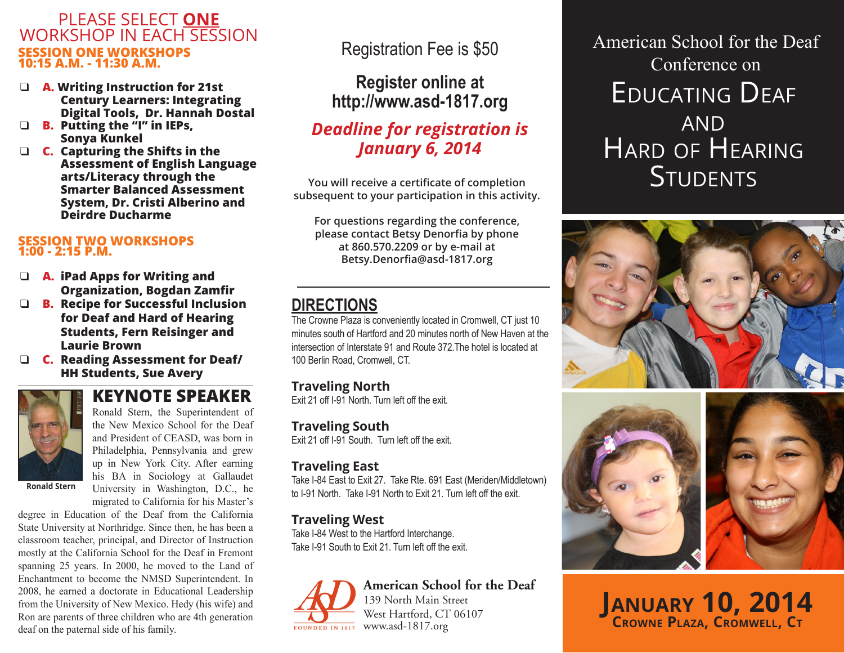#### PLEASE SELECT **ONE** WORKSHOP IN EACH SESSION **SESSION ONE WORKSHOPS 10:15 A.M. - 11:30 A.M.**

- q **A. Writing Instruction for 21st Century Learners: Integrating Digital Tools, Dr. Hannah Dostal**
- q **B. Putting the "I" in IEPs, Sonya Kunkel**
- q **C. Capturing the Shifts in the Assessment of English Language arts/Literacy through the Smarter Balanced Assessment System, Dr. Cristi Alberino and Deirdre Ducharme**

#### **SESSION TWO WORKSHOPS 1:00 - 2:15 P.M.**

- **A. iPad Apps for Writing and Organization, Bogdan Zamfir**
- q **B. Recipe for Successful Inclusion for Deaf and Hard of Hearing Students, Fern Reisinger and Laurie Brown**
- q **C. Reading Assessment for Deaf/ HH Students, Sue Avery**

## **KEYNOTE SPEAKER**



Ronald Stern, the Superintendent of the New Mexico School for the Deaf and President of CEASD, was born in Philadelphia, Pennsylvania and grew up in New York City. After earning his BA in Sociology at Gallaudet University in Washington, D.C., he

**Ronald Stern**

migrated to California for his Master's degree in Education of the Deaf from the California State University at Northridge. Since then, he has been a classroom teacher, principal, and Director of Instruction mostly at the California School for the Deaf in Fremont spanning 25 years. In 2000, he moved to the Land of Enchantment to become the NMSD Superintendent. In 2008, he earned a doctorate in Educational Leadership from the University of New Mexico. Hedy (his wife) and Ron are parents of three children who are 4th generation deaf on the paternal side of his family.

## Registration Fee is \$50

### **Register online at http://www.asd-1817.org**

### *Deadline for registration is January 6, 2014*

**You will receive a certificate of completion subsequent to your participation in this activity.**

**For questions regarding the conference, please contact Betsy Denorfia by phone at 860.570.2209 or by e-mail at Betsy.Denorfia@asd-1817.org** 

## **DIRECTIONS**

The Crowne Plaza is conveniently located in Cromwell, CT just 10 minutes south of Hartford and 20 minutes north of New Haven at the intersection of Interstate 91 and Route 372.The hotel is located at 100 Berlin Road, Cromwell, CT.

### **Traveling North**

Exit 21 off I-91 North. Turn left off the exit.

**Traveling South** Exit 21 off I-91 South. Turn left off the exit.

### **Traveling East**

Take I-84 East to Exit 27. Take Rte. 691 East (Meriden/Middletown) to I-91 North. Take I-91 North to Exit 21. Turn left off the exit.

### **Traveling West**

Take I-84 West to the Hartford Interchange. Take I-91 South to Exit 21. Turn left off the exit.

# www.asd-1817.org FOUNDED IN 1817

**American School for the Deaf** 139 North Main Street West Hartford, CT 06107

# Educating Deaf **AND** Hard of Hearing **STUDENTS** American School for the Deaf Conference on





**January 10, 2014 Crowne Plaza, Cromwell, Ct**